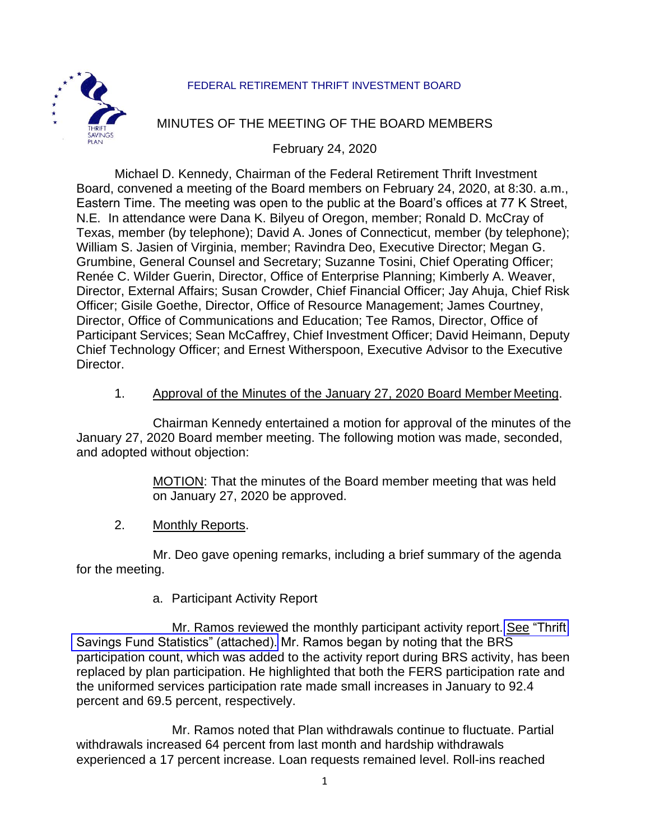### FEDERAL RETIREMENT THRIFT INVESTMENT BOARD



# MINUTES OF THE MEETING OF THE BOARD MEMBERS

February 24, 2020

Michael D. Kennedy, Chairman of the Federal Retirement Thrift Investment Board, convened a meeting of the Board members on February 24, 2020, at 8:30. a.m., Eastern Time. The meeting was open to the public at the Board's offices at 77 K Street, N.E. In attendance were Dana K. Bilyeu of Oregon, member; Ronald D. McCray of Texas, member (by telephone); David A. Jones of Connecticut, member (by telephone); William S. Jasien of Virginia, member; Ravindra Deo, Executive Director; Megan G. Grumbine, General Counsel and Secretary; Suzanne Tosini, Chief Operating Officer; Renée C. Wilder Guerin, Director, Office of Enterprise Planning; Kimberly A. Weaver, Director, External Affairs; Susan Crowder, Chief Financial Officer; Jay Ahuja, Chief Risk Officer; Gisile Goethe, Director, Office of Resource Management; James Courtney, Director, Office of Communications and Education; Tee Ramos, Director, Office of Participant Services; Sean McCaffrey, Chief Investment Officer; David Heimann, Deputy Chief Technology Officer; and Ernest Witherspoon, Executive Advisor to the Executive Director.

### 1. Approval of the Minutes of the January 27, 2020 Board Member Meeting.

Chairman Kennedy entertained a motion for approval of the minutes of the January 27, 2020 Board member meeting. The following motion was made, seconded, and adopted without objection:

> MOTION: That the minutes of the Board member meeting that was held on January 27, 2020 be approved.

2. Monthly Reports.

Mr. Deo gave opening remarks, including a brief summary of the agenda for the meeting.

a. Participant Activity Report

Mr. Ramos reviewed the monthly participant activity report. [See "Thrift](https://www.frtib.gov/pdf/minutes/2020/Feb/MM-2020Feb-Att1.pdf) [Savings Fund Statistics" \(attached\).](https://www.frtib.gov/pdf/minutes/2020/Feb/MM-2020Feb-Att1.pdf) Mr. Ramos began by noting that the BRS participation count, which was added to the activity report during BRS activity, has been replaced by plan participation. He highlighted that both the FERS participation rate and the uniformed services participation rate made small increases in January to 92.4 percent and 69.5 percent, respectively.

Mr. Ramos noted that Plan withdrawals continue to fluctuate. Partial withdrawals increased 64 percent from last month and hardship withdrawals experienced a 17 percent increase. Loan requests remained level. Roll-ins reached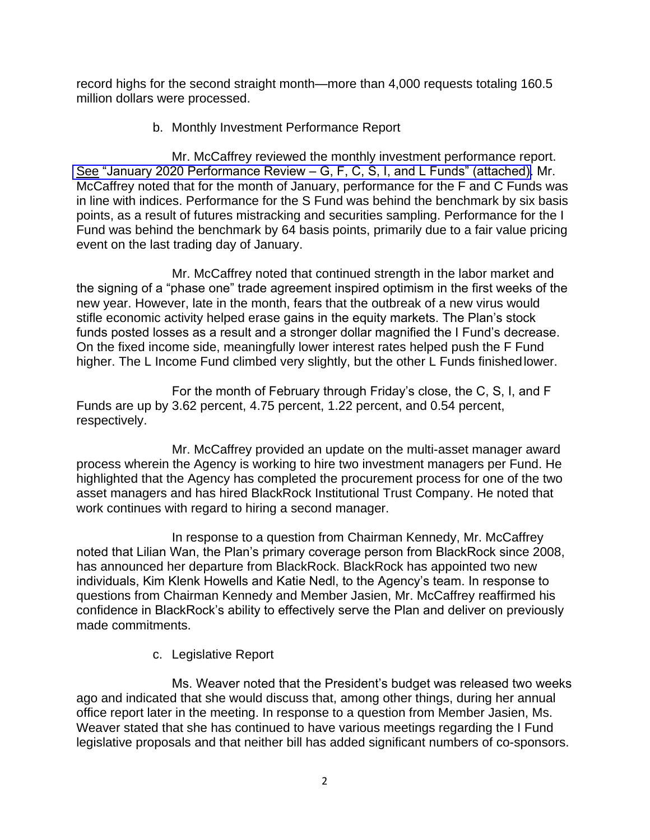record highs for the second straight month—more than 4,000 requests totaling 160.5 million dollars were processed.

b. Monthly Investment Performance Report

Mr. McCaffrey reviewed the monthly investment performance report. [See "January 2020 Performance Review –](https://www.frtib.gov/pdf/minutes/2020/Feb/MM-2020Feb-Att2.pdf) G, F, C, S, I, and L Funds" (attached). Mr. McCaffrey noted that for the month of January, performance for the F and C Funds was in line with indices. Performance for the S Fund was behind the benchmark by six basis points, as a result of futures mistracking and securities sampling. Performance for the I Fund was behind the benchmark by 64 basis points, primarily due to a fair value pricing event on the last trading day of January.

Mr. McCaffrey noted that continued strength in the labor market and the signing of a "phase one" trade agreement inspired optimism in the first weeks of the new year. However, late in the month, fears that the outbreak of a new virus would stifle economic activity helped erase gains in the equity markets. The Plan's stock funds posted losses as a result and a stronger dollar magnified the I Fund's decrease. On the fixed income side, meaningfully lower interest rates helped push the F Fund higher. The L Income Fund climbed very slightly, but the other L Funds finished lower.

For the month of February through Friday's close, the C, S, I, and F Funds are up by 3.62 percent, 4.75 percent, 1.22 percent, and 0.54 percent, respectively.

Mr. McCaffrey provided an update on the multi-asset manager award process wherein the Agency is working to hire two investment managers per Fund. He highlighted that the Agency has completed the procurement process for one of the two asset managers and has hired BlackRock Institutional Trust Company. He noted that work continues with regard to hiring a second manager.

In response to a question from Chairman Kennedy, Mr. McCaffrey noted that Lilian Wan, the Plan's primary coverage person from BlackRock since 2008, has announced her departure from BlackRock. BlackRock has appointed two new individuals, Kim Klenk Howells and Katie Nedl, to the Agency's team. In response to questions from Chairman Kennedy and Member Jasien, Mr. McCaffrey reaffirmed his confidence in BlackRock's ability to effectively serve the Plan and deliver on previously made commitments.

c. Legislative Report

Ms. Weaver noted that the President's budget was released two weeks ago and indicated that she would discuss that, among other things, during her annual office report later in the meeting. In response to a question from Member Jasien, Ms. Weaver stated that she has continued to have various meetings regarding the I Fund legislative proposals and that neither bill has added significant numbers of co-sponsors.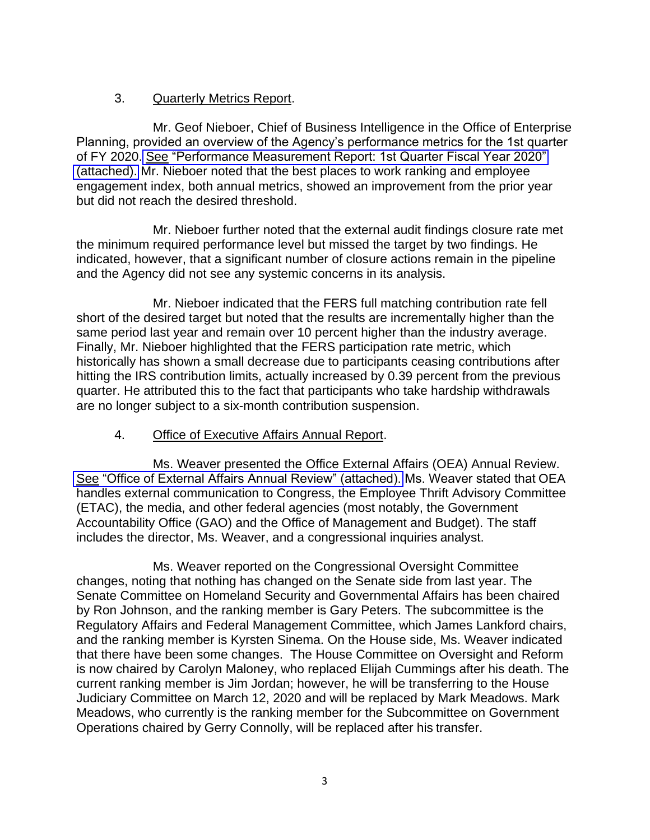# 3. Quarterly Metrics Report.

Mr. Geof Nieboer, Chief of Business Intelligence in the Office of Enterprise Planning, provided an overview of the Agency's performance metrics for the 1st quarter of FY 2020. [See "Performance Measurement Report: 1st Quarter Fiscal Year 2020"](https://www.frtib.gov/pdf/minutes/2020/Feb/MM-2020Feb-Att3.pdf)  [\(attached\).](https://www.frtib.gov/pdf/minutes/2020/Feb/MM-2020Feb-Att3.pdf) Mr. Nieboer noted that the best places to work ranking and employee engagement index, both annual metrics, showed an improvement from the prior year but did not reach the desired threshold.

Mr. Nieboer further noted that the external audit findings closure rate met the minimum required performance level but missed the target by two findings. He indicated, however, that a significant number of closure actions remain in the pipeline and the Agency did not see any systemic concerns in its analysis.

Mr. Nieboer indicated that the FERS full matching contribution rate fell short of the desired target but noted that the results are incrementally higher than the same period last year and remain over 10 percent higher than the industry average. Finally, Mr. Nieboer highlighted that the FERS participation rate metric, which historically has shown a small decrease due to participants ceasing contributions after hitting the IRS contribution limits, actually increased by 0.39 percent from the previous quarter. He attributed this to the fact that participants who take hardship withdrawals are no longer subject to a six-month contribution suspension.

# 4. Office of Executive Affairs Annual Report.

Ms. Weaver presented the Office External Affairs (OEA) Annual Review. [See "Office of External Affairs Annual Review" \(attached\).](https://www.frtib.gov/pdf/minutes/2020/Feb/MM-2020Feb-Att4.pdf) Ms. Weaver stated that OEA handles external communication to Congress, the Employee Thrift Advisory Committee (ETAC), the media, and other federal agencies (most notably, the Government Accountability Office (GAO) and the Office of Management and Budget). The staff includes the director, Ms. Weaver, and a congressional inquiries analyst.

Ms. Weaver reported on the Congressional Oversight Committee changes, noting that nothing has changed on the Senate side from last year. The Senate Committee on Homeland Security and Governmental Affairs has been chaired by Ron Johnson, and the ranking member is Gary Peters. The subcommittee is the Regulatory Affairs and Federal Management Committee, which James Lankford chairs, and the ranking member is Kyrsten Sinema. On the House side, Ms. Weaver indicated that there have been some changes. The House Committee on Oversight and Reform is now chaired by Carolyn Maloney, who replaced Elijah Cummings after his death. The current ranking member is Jim Jordan; however, he will be transferring to the House Judiciary Committee on March 12, 2020 and will be replaced by Mark Meadows. Mark Meadows, who currently is the ranking member for the Subcommittee on Government Operations chaired by Gerry Connolly, will be replaced after his transfer.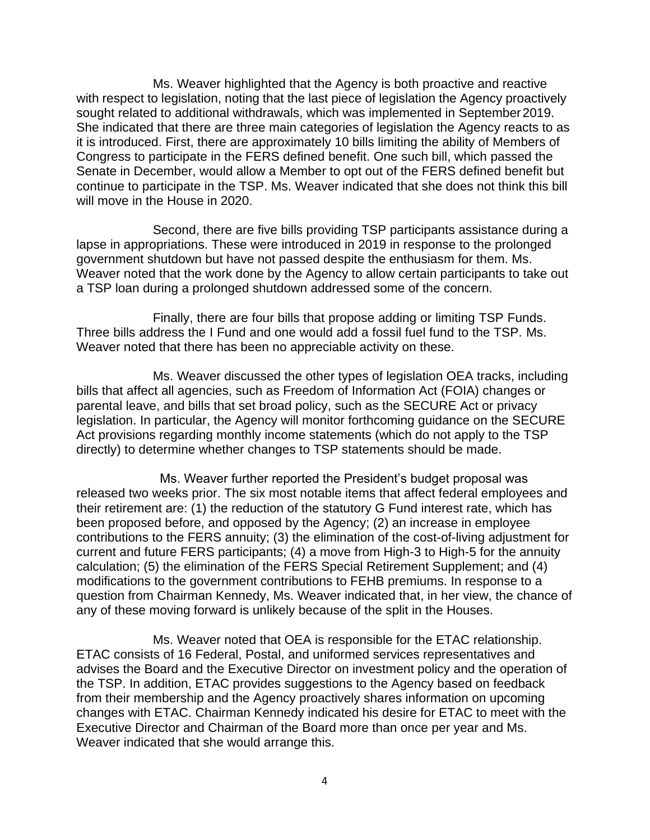Ms. Weaver highlighted that the Agency is both proactive and reactive with respect to legislation, noting that the last piece of legislation the Agency proactively sought related to additional withdrawals, which was implemented in September 2019. She indicated that there are three main categories of legislation the Agency reacts to as it is introduced. First, there are approximately 10 bills limiting the ability of Members of Congress to participate in the FERS defined benefit. One such bill, which passed the Senate in December, would allow a Member to opt out of the FERS defined benefit but continue to participate in the TSP. Ms. Weaver indicated that she does not think this bill will move in the House in 2020.

Second, there are five bills providing TSP participants assistance during a lapse in appropriations. These were introduced in 2019 in response to the prolonged government shutdown but have not passed despite the enthusiasm for them. Ms. Weaver noted that the work done by the Agency to allow certain participants to take out a TSP loan during a prolonged shutdown addressed some of the concern.

Finally, there are four bills that propose adding or limiting TSP Funds. Three bills address the I Fund and one would add a fossil fuel fund to the TSP. Ms. Weaver noted that there has been no appreciable activity on these.

Ms. Weaver discussed the other types of legislation OEA tracks, including bills that affect all agencies, such as Freedom of Information Act (FOIA) changes or parental leave, and bills that set broad policy, such as the SECURE Act or privacy legislation. In particular, the Agency will monitor forthcoming guidance on the SECURE Act provisions regarding monthly income statements (which do not apply to the TSP directly) to determine whether changes to TSP statements should be made.

Ms. Weaver further reported the President's budget proposal was released two weeks prior. The six most notable items that affect federal employees and their retirement are: (1) the reduction of the statutory G Fund interest rate, which has been proposed before, and opposed by the Agency; (2) an increase in employee contributions to the FERS annuity; (3) the elimination of the cost-of-living adjustment for current and future FERS participants; (4) a move from High-3 to High-5 for the annuity calculation; (5) the elimination of the FERS Special Retirement Supplement; and (4) modifications to the government contributions to FEHB premiums. In response to a question from Chairman Kennedy, Ms. Weaver indicated that, in her view, the chance of any of these moving forward is unlikely because of the split in the Houses.

Ms. Weaver noted that OEA is responsible for the ETAC relationship. ETAC consists of 16 Federal, Postal, and uniformed services representatives and advises the Board and the Executive Director on investment policy and the operation of the TSP. In addition, ETAC provides suggestions to the Agency based on feedback from their membership and the Agency proactively shares information on upcoming changes with ETAC. Chairman Kennedy indicated his desire for ETAC to meet with the Executive Director and Chairman of the Board more than once per year and Ms. Weaver indicated that she would arrange this.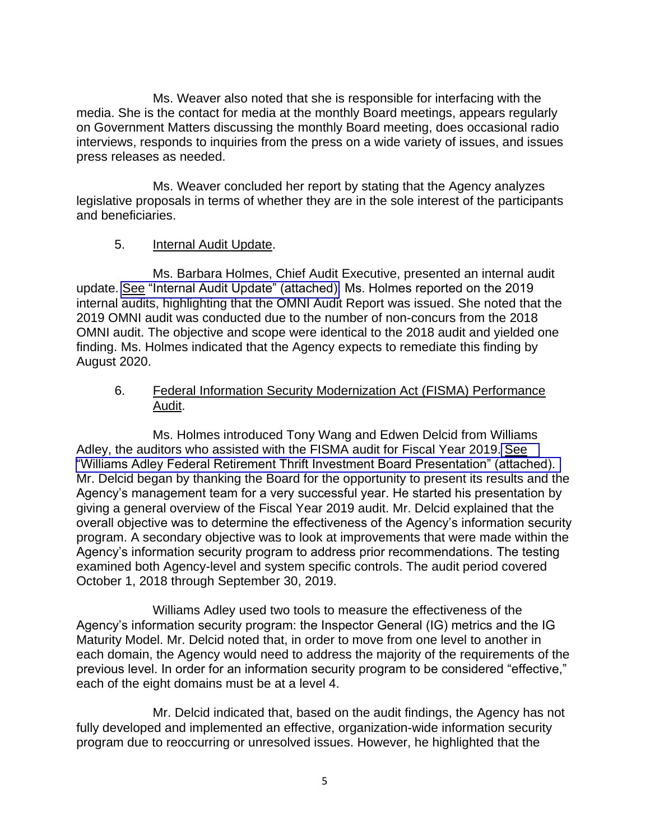Ms. Weaver also noted that she is responsible for interfacing with the media. She is the contact for media at the monthly Board meetings, appears regularly on Government Matters discussing the monthly Board meeting, does occasional radio interviews, responds to inquiries from the press on a wide variety of issues, and issues press releases as needed.

Ms. Weaver concluded her report by stating that the Agency analyzes legislative proposals in terms of whether they are in the sole interest of the participants and beneficiaries.

### 5. Internal Audit Update.

Ms. Barbara Holmes, Chief Audit Executive, presented an internal audit update. [See "Internal Audit Update" \(attached\).](https://www.frtib.gov/pdf/minutes/2020/Feb/MM-2020Feb-Att5.pdf) Ms. Holmes reported on the 2019 internal audits, highlighting that the OMNI Audit Report was issued. She noted that the 2019 OMNI audit was conducted due to the number of non-concurs from the 2018 OMNI audit. The objective and scope were identical to the 2018 audit and yielded one finding. Ms. Holmes indicated that the Agency expects to remediate this finding by August 2020.

#### 6. Federal Information Security Modernization Act (FISMA) Performance Audit.

Ms. Holmes introduced Tony Wang and Edwen Delcid from Williams Adley, the auditors who assisted with the FISMA audit for Fiscal Year 2019. [See](https://www.frtib.gov/pdf/minutes/2020/Feb/MM-2020Feb-Att6.pdf)  ["Williams Adley Federal Retirement Thrift Investment Board Presentation" \(attached\).](https://www.frtib.gov/pdf/minutes/2020/Feb/MM-2020Feb-Att6.pdf)  Mr. Delcid began by thanking the Board for the opportunity to present its results and the Agency's management team for a very successful year. He started his presentation by giving a general overview of the Fiscal Year 2019 audit. Mr. Delcid explained that the overall objective was to determine the effectiveness of the Agency's information security program. A secondary objective was to look at improvements that were made within the Agency's information security program to address prior recommendations. The testing examined both Agency-level and system specific controls. The audit period covered October 1, 2018 through September 30, 2019.

Williams Adley used two tools to measure the effectiveness of the Agency's information security program: the Inspector General (IG) metrics and the IG Maturity Model. Mr. Delcid noted that, in order to move from one level to another in each domain, the Agency would need to address the majority of the requirements of the previous level. In order for an information security program to be considered "effective," each of the eight domains must be at a level 4.

Mr. Delcid indicated that, based on the audit findings, the Agency has not fully developed and implemented an effective, organization-wide information security program due to reoccurring or unresolved issues. However, he highlighted that the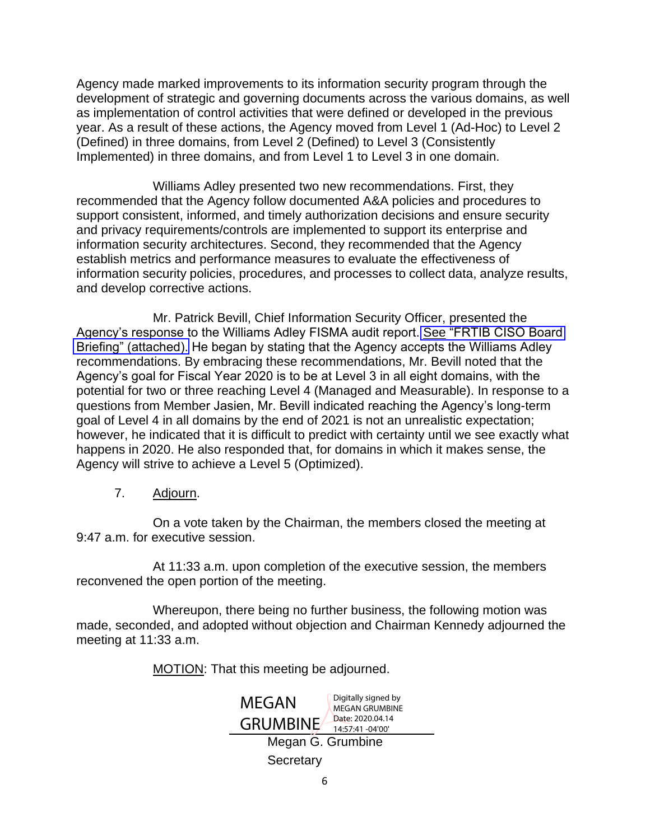Agency made marked improvements to its information security program through the development of strategic and governing documents across the various domains, as well as implementation of control activities that were defined or developed in the previous year. As a result of these actions, the Agency moved from Level 1 (Ad-Hoc) to Level 2 (Defined) in three domains, from Level 2 (Defined) to Level 3 (Consistently Implemented) in three domains, and from Level 1 to Level 3 in one domain.

Williams Adley presented two new recommendations. First, they recommended that the Agency follow documented A&A policies and procedures to support consistent, informed, and timely authorization decisions and ensure security and privacy requirements/controls are implemented to support its enterprise and information security architectures. Second, they recommended that the Agency establish metrics and performance measures to evaluate the effectiveness of information security policies, procedures, and processes to collect data, analyze results, and develop corrective actions.

Mr. Patrick Bevill, Chief Information Security Officer, presented the Agency's response to the Williams Adley FISMA audit report. [See "FRTIB CISO Board](https://www.frtib.gov/pdf/minutes/2020/Feb/MM-2020Feb-Att7.pdf)  [Briefing" \(attached\).](https://www.frtib.gov/pdf/minutes/2020/Feb/MM-2020Feb-Att7.pdf) He began by stating that the Agency accepts the Williams Adley recommendations. By embracing these recommendations, Mr. Bevill noted that the Agency's goal for Fiscal Year 2020 is to be at Level 3 in all eight domains, with the potential for two or three reaching Level 4 (Managed and Measurable). In response to a questions from Member Jasien, Mr. Bevill indicated reaching the Agency's long-term goal of Level 4 in all domains by the end of 2021 is not an unrealistic expectation; however, he indicated that it is difficult to predict with certainty until we see exactly what happens in 2020. He also responded that, for domains in which it makes sense, the Agency will strive to achieve a Level 5 (Optimized).

7. Adjourn.

On a vote taken by the Chairman, the members closed the meeting at 9:47 a.m. for executive session.

At 11:33 a.m. upon completion of the executive session, the members reconvened the open portion of the meeting.

Whereupon, there being no further business, the following motion was made, seconded, and adopted without objection and Chairman Kennedy adjourned the meeting at 11:33 a.m.

MOTION: That this meeting be adjourned.

| MEGAN             | Digitally signed by<br><b>MEGAN GRUMBINE</b> |
|-------------------|----------------------------------------------|
| <b>GRUMBINE</b>   | Date: 2020.04.14<br>14:57:41 -04'00'         |
| Megan G. Grumbine |                                              |
| Secretary         |                                              |